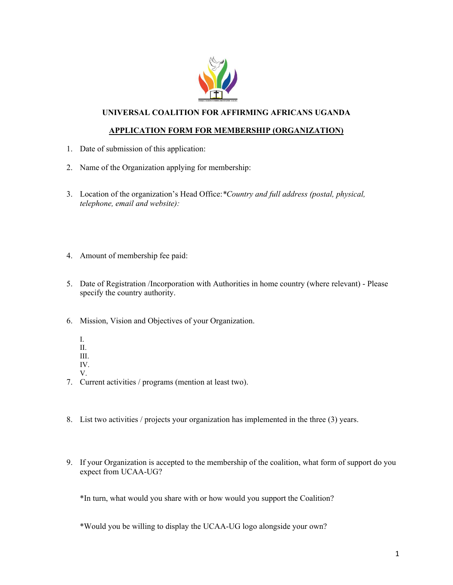

## **UNIVERSAL COALITION FOR AFFIRMING AFRICANS UGANDA**

## **APPLICATION FORM FOR MEMBERSHIP (ORGANIZATION)**

- 1. Date of submission of this application:
- 2. Name of the Organization applying for membership:
- 3. Location of the organization's Head Office:*\*Country and full address (postal, physical, telephone, email and website):*
- 4. Amount of membership fee paid:
- 5. Date of Registration /Incorporation with Authorities in home country (where relevant) Please specify the country authority.
- 6. Mission, Vision and Objectives of your Organization.
	- I.
	- II.
	- III.
	- IV.
	- V.
- 7. Current activities / programs (mention at least two).
- 8. List two activities / projects your organization has implemented in the three (3) years.
- 9. If your Organization is accepted to the membership of the coalition, what form of support do you expect from UCAA-UG?

\*In turn, what would you share with or how would you support the Coalition?

\*Would you be willing to display the UCAA-UG logo alongside your own?